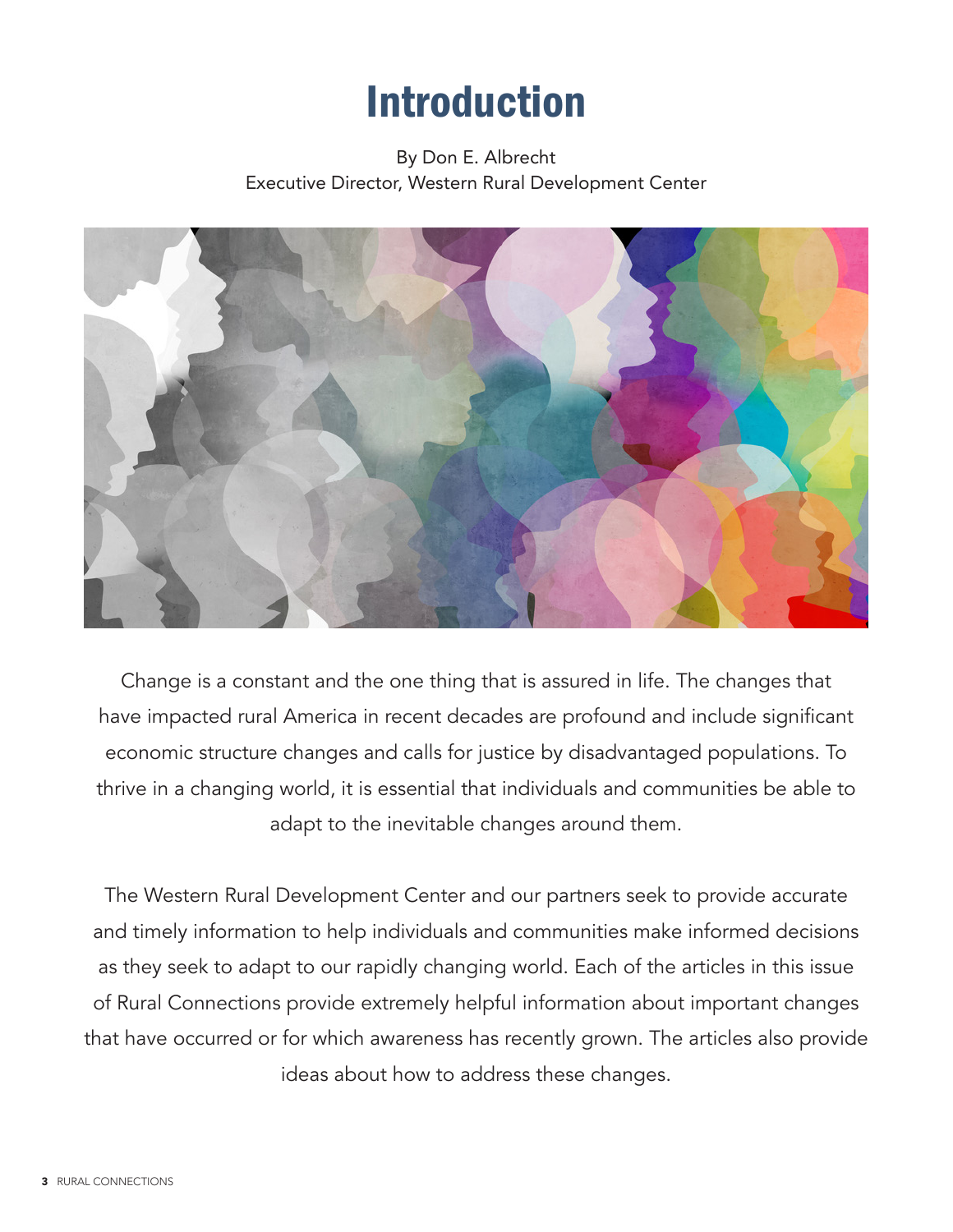## Introduction

## By Don E. Albrecht Executive Director, Western Rural Development Center



Change is a constant and the one thing that is assured in life. The changes that have impacted rural America in recent decades are profound and include significant economic structure changes and calls for justice by disadvantaged populations. To thrive in a changing world, it is essential that individuals and communities be able to adapt to the inevitable changes around them.

The Western Rural Development Center and our partners seek to provide accurate and timely information to help individuals and communities make informed decisions as they seek to adapt to our rapidly changing world. Each of the articles in this issue of Rural Connections provide extremely helpful information about important changes that have occurred or for which awareness has recently grown. The articles also provide ideas about how to address these changes.